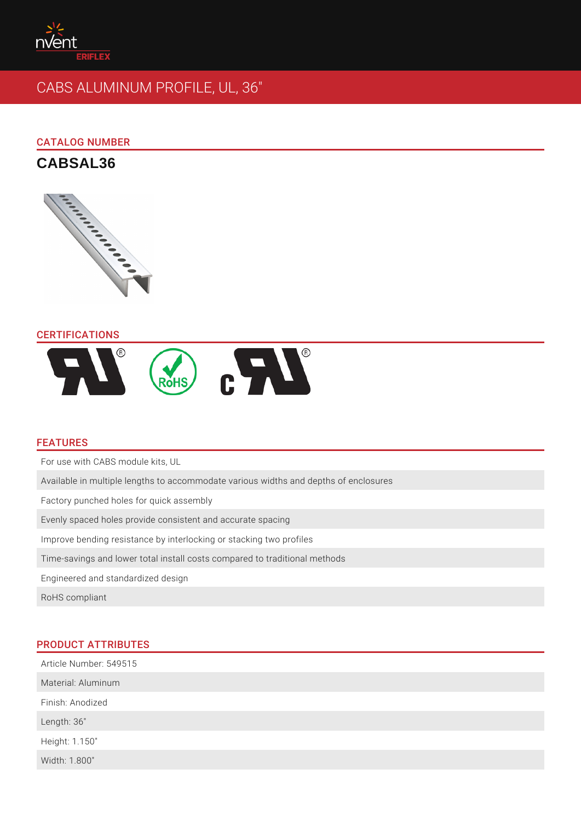# CABS ALUMINUM PROFILE, UL, 36"

## CATALOG NUMBER

CABSAL36

## CERTIFICATIONS

## FEATURES

For use with CABS module kits, UL Available in multiple lengths to accommodate various widths and depths of encl Factory punched holes for quick assembly Evenly spaced holes provide consistent and accurate spacing Improve bending resistance by interlocking or stacking two profiles Time-savings and lower total install costs compared to traditional methods Engineered and standardized design RoHS compliant

# PRODUCT ATTRIBUTES

| Article Number: 549515 |  |
|------------------------|--|
| Material: Aluminum     |  |
| Finish: Anodized       |  |
| Length: 36"            |  |
| Height: 1.150"         |  |
| Width: 1.800"          |  |